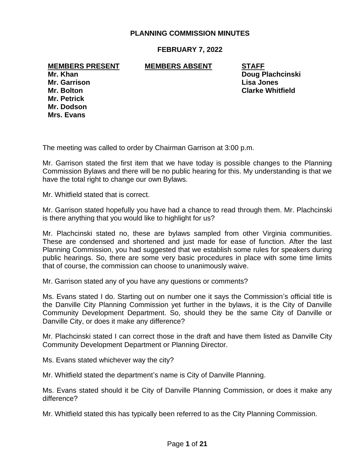# **PLANNING COMMISSION MINUTES**

### **FEBRUARY 7, 2022**

**MEMBERS PRESENT MEMBERS ABSENT STAFF**

**Mr. Garrison Lisa Jones Mr. Petrick Mr. Dodson Mrs. Evans**

**Mr. Khan Doug Plachcinski Mr. Bolton Clarke Whitfield**

The meeting was called to order by Chairman Garrison at 3:00 p.m.

Mr. Garrison stated the first item that we have today is possible changes to the Planning Commission Bylaws and there will be no public hearing for this. My understanding is that we have the total right to change our own Bylaws.

Mr. Whitfield stated that is correct.

Mr. Garrison stated hopefully you have had a chance to read through them. Mr. Plachcinski is there anything that you would like to highlight for us?

Mr. Plachcinski stated no, these are bylaws sampled from other Virginia communities. These are condensed and shortened and just made for ease of function. After the last Planning Commission, you had suggested that we establish some rules for speakers during public hearings. So, there are some very basic procedures in place with some time limits that of course, the commission can choose to unanimously waive.

Mr. Garrison stated any of you have any questions or comments?

Ms. Evans stated I do. Starting out on number one it says the Commission's official title is the Danville City Planning Commission yet further in the bylaws, it is the City of Danville Community Development Department. So, should they be the same City of Danville or Danville City, or does it make any difference?

Mr. Plachcinski stated I can correct those in the draft and have them listed as Danville City Community Development Department or Planning Director.

Ms. Evans stated whichever way the city?

Mr. Whitfield stated the department's name is City of Danville Planning.

Ms. Evans stated should it be City of Danville Planning Commission, or does it make any difference?

Mr. Whitfield stated this has typically been referred to as the City Planning Commission.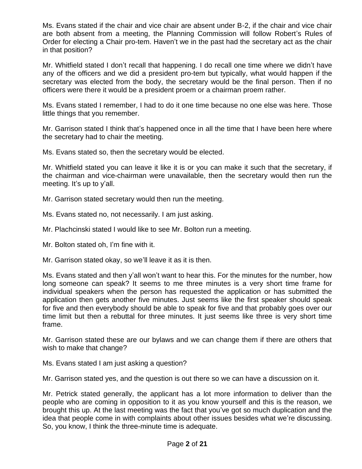Ms. Evans stated if the chair and vice chair are absent under B-2, if the chair and vice chair are both absent from a meeting, the Planning Commission will follow Robert's Rules of Order for electing a Chair pro-tem. Haven't we in the past had the secretary act as the chair in that position?

Mr. Whitfield stated I don't recall that happening. I do recall one time where we didn't have any of the officers and we did a president pro-tem but typically, what would happen if the secretary was elected from the body, the secretary would be the final person. Then if no officers were there it would be a president proem or a chairman proem rather.

Ms. Evans stated I remember, I had to do it one time because no one else was here. Those little things that you remember.

Mr. Garrison stated I think that's happened once in all the time that I have been here where the secretary had to chair the meeting.

Ms. Evans stated so, then the secretary would be elected.

Mr. Whitfield stated you can leave it like it is or you can make it such that the secretary, if the chairman and vice-chairman were unavailable, then the secretary would then run the meeting. It's up to y'all.

Mr. Garrison stated secretary would then run the meeting.

Ms. Evans stated no, not necessarily. I am just asking.

Mr. Plachcinski stated I would like to see Mr. Bolton run a meeting.

Mr. Bolton stated oh, I'm fine with it.

Mr. Garrison stated okay, so we'll leave it as it is then.

Ms. Evans stated and then y'all won't want to hear this. For the minutes for the number, how long someone can speak? It seems to me three minutes is a very short time frame for individual speakers when the person has requested the application or has submitted the application then gets another five minutes. Just seems like the first speaker should speak for five and then everybody should be able to speak for five and that probably goes over our time limit but then a rebuttal for three minutes. It just seems like three is very short time frame.

Mr. Garrison stated these are our bylaws and we can change them if there are others that wish to make that change?

Ms. Evans stated I am just asking a question?

Mr. Garrison stated yes, and the question is out there so we can have a discussion on it.

Mr. Petrick stated generally, the applicant has a lot more information to deliver than the people who are coming in opposition to it as you know yourself and this is the reason, we brought this up. At the last meeting was the fact that you've got so much duplication and the idea that people come in with complaints about other issues besides what we're discussing. So, you know, I think the three-minute time is adequate.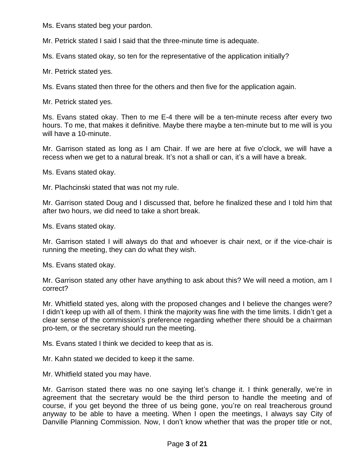Ms. Evans stated beg your pardon.

Mr. Petrick stated I said I said that the three-minute time is adequate.

Ms. Evans stated okay, so ten for the representative of the application initially?

Mr. Petrick stated yes.

Ms. Evans stated then three for the others and then five for the application again.

Mr. Petrick stated yes.

Ms. Evans stated okay. Then to me E-4 there will be a ten-minute recess after every two hours. To me, that makes it definitive. Maybe there maybe a ten-minute but to me will is you will have a 10-minute.

Mr. Garrison stated as long as I am Chair. If we are here at five o'clock, we will have a recess when we get to a natural break. It's not a shall or can, it's a will have a break.

Ms. Evans stated okay.

Mr. Plachcinski stated that was not my rule.

Mr. Garrison stated Doug and I discussed that, before he finalized these and I told him that after two hours, we did need to take a short break.

Ms. Evans stated okay.

Mr. Garrison stated I will always do that and whoever is chair next, or if the vice-chair is running the meeting, they can do what they wish.

Ms. Evans stated okay.

Mr. Garrison stated any other have anything to ask about this? We will need a motion, am I correct?

Mr. Whitfield stated yes, along with the proposed changes and I believe the changes were? I didn't keep up with all of them. I think the majority was fine with the time limits. I didn't get a clear sense of the commission's preference regarding whether there should be a chairman pro-tem, or the secretary should run the meeting.

Ms. Evans stated I think we decided to keep that as is.

Mr. Kahn stated we decided to keep it the same.

Mr. Whitfield stated you may have.

Mr. Garrison stated there was no one saying let's change it. I think generally, we're in agreement that the secretary would be the third person to handle the meeting and of course, if you get beyond the three of us being gone, you're on real treacherous ground anyway to be able to have a meeting. When I open the meetings, I always say City of Danville Planning Commission. Now, I don't know whether that was the proper title or not,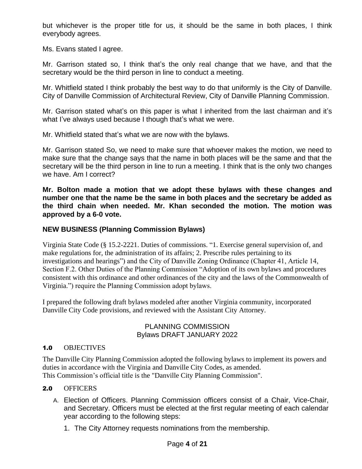but whichever is the proper title for us, it should be the same in both places, I think everybody agrees.

Ms. Evans stated I agree.

Mr. Garrison stated so, I think that's the only real change that we have, and that the secretary would be the third person in line to conduct a meeting.

Mr. Whitfield stated I think probably the best way to do that uniformly is the City of Danville. City of Danville Commission of Architectural Review, City of Danville Planning Commission.

Mr. Garrison stated what's on this paper is what I inherited from the last chairman and it's what I've always used because I though that's what we were.

Mr. Whitfield stated that's what we are now with the bylaws.

Mr. Garrison stated So, we need to make sure that whoever makes the motion, we need to make sure that the change says that the name in both places will be the same and that the secretary will be the third person in line to run a meeting. I think that is the only two changes we have. Am I correct?

**Mr. Bolton made a motion that we adopt these bylaws with these changes and number one that the name be the same in both places and the secretary be added as the third chain when needed. Mr. Khan seconded the motion. The motion was approved by a 6-0 vote.**

# **NEW BUSINESS (Planning Commission Bylaws)**

Virginia State Code (§ 15.2-2221. Duties of commissions. "1. Exercise general supervision of, and make regulations for, the administration of its affairs; 2. Prescribe rules pertaining to its investigations and hearings") and the City of Danville Zoning Ordinance (Chapter 41, Article 14, Section F.2. Other Duties of the Planning Commission "Adoption of its own bylaws and procedures consistent with this ordinance and other ordinances of the city and the laws of the Commonwealth of Virginia.") require the Planning Commission adopt bylaws.

I prepared the following draft bylaws modeled after another Virginia community, incorporated Danville City Code provisions, and reviewed with the Assistant City Attorney.

# PLANNING COMMISSION Bylaws DRAFT JANUARY 2022

#### 1.0 OBJECTIVES

The Danville City Planning Commission adopted the following bylaws to implement its powers and duties in accordance with the Virginia and Danville City Codes, as amended. This Commission's official title is the "Danville City Planning Commission".

# 2.0 OFFICERS

- A. Election of Officers. Planning Commission officers consist of a Chair, Vice-Chair, and Secretary. Officers must be elected at the first regular meeting of each calendar year according to the following steps:
	- 1. The City Attorney requests nominations from the membership.

# Page **4** of **21**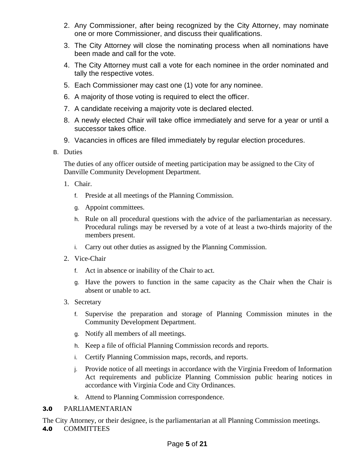- 2. Any Commissioner, after being recognized by the City Attorney, may nominate one or more Commissioner, and discuss their qualifications.
- 3. The City Attorney will close the nominating process when all nominations have been made and call for the vote.
- 4. The City Attorney must call a vote for each nominee in the order nominated and tally the respective votes.
- 5. Each Commissioner may cast one (1) vote for any nominee.
- 6. A majority of those voting is required to elect the officer.
- 7. A candidate receiving a majority vote is declared elected.
- 8. A newly elected Chair will take office immediately and serve for a year or until a successor takes office.
- 9. Vacancies in offices are filled immediately by regular election procedures.
- B. Duties

The duties of any officer outside of meeting participation may be assigned to the City of Danville Community Development Department.

- 1. Chair.
	- f. Preside at all meetings of the Planning Commission.
	- g. Appoint committees.
	- h. Rule on all procedural questions with the advice of the parliamentarian as necessary. Procedural rulings may be reversed by a vote of at least a two-thirds majority of the members present.
	- i. Carry out other duties as assigned by the Planning Commission.
- 2. Vice-Chair
	- f. Act in absence or inability of the Chair to act.
	- g. Have the powers to function in the same capacity as the Chair when the Chair is absent or unable to act.
- 3. Secretary
	- f. Supervise the preparation and storage of Planning Commission minutes in the Community Development Department.
	- g. Notify all members of all meetings.
	- h. Keep a file of official Planning Commission records and reports.
	- i. Certify Planning Commission maps, records, and reports.
	- j. Provide notice of all meetings in accordance with the Virginia Freedom of Information Act requirements and publicize Planning Commission public hearing notices in accordance with Virginia Code and City Ordinances.
	- k. Attend to Planning Commission correspondence.

#### 3.0 PARLIAMENTARIAN

The City Attorney, or their designee, is the parliamentarian at all Planning Commission meetings. 4.0 COMMITTEES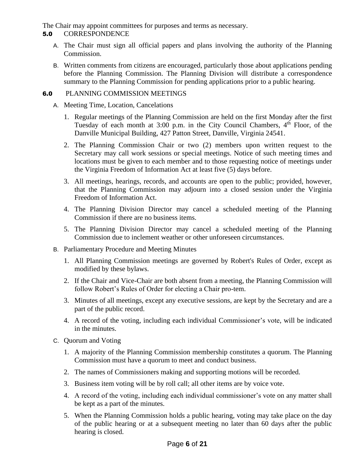The Chair may appoint committees for purposes and terms as necessary.

# 5.0 CORRESPONDENCE

- A. The Chair must sign all official papers and plans involving the authority of the Planning Commission.
- B. Written comments from citizens are encouraged, particularly those about applications pending before the Planning Commission. The Planning Division will distribute a correspondence summary to the Planning Commission for pending applications prior to a public hearing.

## 6.0 PLANNING COMMISSION MEETINGS

- A. Meeting Time, Location, Cancelations
	- 1. Regular meetings of the Planning Commission are held on the first Monday after the first Tuesday of each month at  $3:00$  p.m. in the City Council Chambers,  $4<sup>th</sup>$  Floor, of the Danville Municipal Building, 427 Patton Street, Danville, Virginia 24541.
	- 2. The Planning Commission Chair or two (2) members upon written request to the Secretary may call work sessions or special meetings. Notice of such meeting times and locations must be given to each member and to those requesting notice of meetings under the Virginia Freedom of Information Act at least five (5) days before.
	- 3. All meetings, hearings, records, and accounts are open to the public; provided, however, that the Planning Commission may adjourn into a closed session under the Virginia Freedom of Information Act.
	- 4. The Planning Division Director may cancel a scheduled meeting of the Planning Commission if there are no business items.
	- 5. The Planning Division Director may cancel a scheduled meeting of the Planning Commission due to inclement weather or other unforeseen circumstances.
- B. Parliamentary Procedure and Meeting Minutes
	- 1. All Planning Commission meetings are governed by Robert's Rules of Order, except as modified by these bylaws.
	- 2. If the Chair and Vice-Chair are both absent from a meeting, the Planning Commission will follow Robert's Rules of Order for electing a Chair pro-tem.
	- 3. Minutes of all meetings, except any executive sessions, are kept by the Secretary and are a part of the public record.
	- 4. A record of the voting, including each individual Commissioner's vote, will be indicated in the minutes.
- C. Quorum and Voting
	- 1. A majority of the Planning Commission membership constitutes a quorum. The Planning Commission must have a quorum to meet and conduct business.
	- 2. The names of Commissioners making and supporting motions will be recorded.
	- 3. Business item voting will be by roll call; all other items are by voice vote.
	- 4. A record of the voting, including each individual commissioner's vote on any matter shall be kept as a part of the minutes.
	- 5. When the Planning Commission holds a public hearing, voting may take place on the day of the public hearing or at a subsequent meeting no later than 60 days after the public hearing is closed.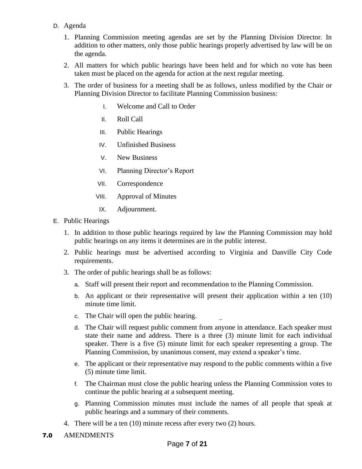# D. Agenda

- 1. Planning Commission meeting agendas are set by the Planning Division Director. In addition to other matters, only those public hearings properly advertised by law will be on the agenda.
- 2. All matters for which public hearings have been held and for which no vote has been taken must be placed on the agenda for action at the next regular meeting.
- 3. The order of business for a meeting shall be as follows, unless modified by the Chair or Planning Division Director to facilitate Planning Commission business:
	- I. Welcome and Call to Order
	- II. Roll Call
	- III. Public Hearings
	- IV. Unfinished Business
	- V. New Business
	- VI. Planning Director's Report
	- VII. Correspondence
	- VIII. Approval of Minutes
	- IX. Adjournment.
- E. Public Hearings
	- 1. In addition to those public hearings required by law the Planning Commission may hold public hearings on any items it determines are in the public interest.
	- 2. Public hearings must be advertised according to Virginia and Danville City Code requirements.
	- 3. The order of public hearings shall be as follows:
		- a. Staff will present their report and recommendation to the Planning Commission.
		- b. An applicant or their representative will present their application within a ten (10) minute time limit.
		- c. The Chair will open the public hearing.
		- d. The Chair will request public comment from anyone in attendance. Each speaker must state their name and address. There is a three (3) minute limit for each individual speaker. There is a five (5) minute limit for each speaker representing a group. The Planning Commission, by unanimous consent, may extend a speaker's time.
		- e. The applicant or their representative may respond to the public comments within a five (5) minute time limit.
		- f. The Chairman must close the public hearing unless the Planning Commission votes to continue the public hearing at a subsequent meeting.
		- g. Planning Commission minutes must include the names of all people that speak at public hearings and a summary of their comments.
	- 4. There will be a ten (10) minute recess after every two (2) hours.
- 7.0 AMENDMENTS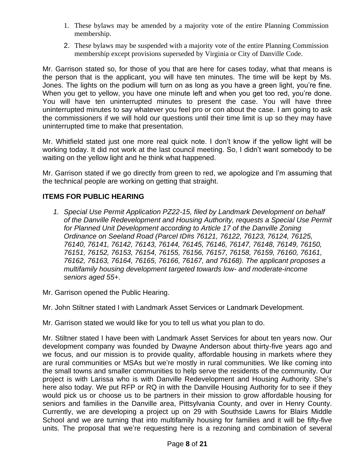- 1. These bylaws may be amended by a majority vote of the entire Planning Commission membership.
- 2. These bylaws may be suspended with a majority vote of the entire Planning Commission membership except provisions superseded by Virginia or City of Danville Code.

Mr. Garrison stated so, for those of you that are here for cases today, what that means is the person that is the applicant, you will have ten minutes. The time will be kept by Ms. Jones. The lights on the podium will turn on as long as you have a green light, you're fine. When you get to yellow, you have one minute left and when you get too red, you're done. You will have ten uninterrupted minutes to present the case. You will have three uninterrupted minutes to say whatever you feel pro or con about the case. I am going to ask the commissioners if we will hold our questions until their time limit is up so they may have uninterrupted time to make that presentation.

Mr. Whitfield stated just one more real quick note. I don't know if the yellow light will be working today. It did not work at the last council meeting. So, I didn't want somebody to be waiting on the yellow light and he think what happened.

Mr. Garrison stated if we go directly from green to red, we apologize and I'm assuming that the technical people are working on getting that straight.

# **ITEMS FOR PUBLIC HEARING**

- *1. Special Use Permit Application PZ22-15, filed by Landmark Development on behalf of the Danville Redevelopment and Housing Authority, requests a Special Use Permit for Planned Unit Development according to Article 17 of the Danville Zoning Ordinance on Seeland Road (Parcel ID#s 76121, 76122, 76123, 76124, 76125, 76140, 76141, 76142, 76143, 76144, 76145, 76146, 76147, 76148, 76149, 76150, 76151, 76152, 76153, 76154, 76155, 76156, 76157, 76158, 76159, 76160, 76161, 76162, 76163, 76164, 76165, 76166, 76167, and 76168). The applicant proposes a multifamily housing development targeted towards low- and moderate-income seniors aged 55+.*
- Mr. Garrison opened the Public Hearing.

Mr. John Stiltner stated I with Landmark Asset Services or Landmark Development.

Mr. Garrison stated we would like for you to tell us what you plan to do.

Mr. Stiltner stated I have been with Landmark Asset Services for about ten years now. Our development company was founded by Dwayne Anderson about thirty-five years ago and we focus, and our mission is to provide quality, affordable housing in markets where they are rural communities or MSAs but we're mostly in rural communities. We like coming into the small towns and smaller communities to help serve the residents of the community. Our project is with Larissa who is with Danville Redevelopment and Housing Authority. She's here also today. We put RFP or RQ in with the Danville Housing Authority for to see if they would pick us or choose us to be partners in their mission to grow affordable housing for seniors and families in the Danville area, Pittsylvania County, and over in Henry County. Currently, we are developing a project up on 29 with Southside Lawns for Blairs Middle School and we are turning that into multifamily housing for families and it will be fifty-five units. The proposal that we're requesting here is a rezoning and combination of several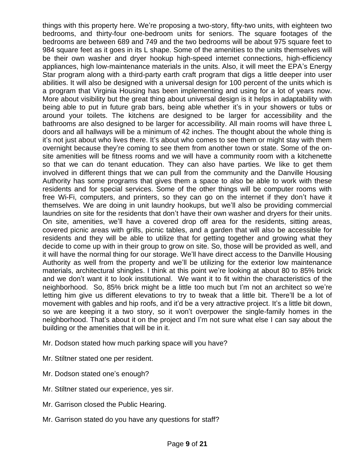things with this property here. We're proposing a two-story, fifty-two units, with eighteen two bedrooms, and thirty-four one-bedroom units for seniors. The square footages of the bedrooms are between 689 and 749 and the two bedrooms will be about 975 square feet to 984 square feet as it goes in its L shape. Some of the amenities to the units themselves will be their own washer and dryer hookup high-speed internet connections, high-efficiency appliances, high low-maintenance materials in the units. Also, it will meet the EPA's Energy Star program along with a third-party earth craft program that digs a little deeper into user abilities. It will also be designed with a universal design for 100 percent of the units which is a program that Virginia Housing has been implementing and using for a lot of years now. More about visibility but the great thing about universal design is it helps in adaptability with being able to put in future grab bars, being able whether it's in your showers or tubs or around your toilets. The kitchens are designed to be larger for accessibility and the bathrooms are also designed to be larger for accessibility. All main rooms will have three L doors and all hallways will be a minimum of 42 inches. The thought about the whole thing is it's not just about who lives there. It's about who comes to see them or might stay with them overnight because they're coming to see them from another town or state. Some of the onsite amenities will be fitness rooms and we will have a community room with a kitchenette so that we can do tenant education. They can also have parties. We like to get them involved in different things that we can pull from the community and the Danville Housing Authority has some programs that gives them a space to also be able to work with these residents and for special services. Some of the other things will be computer rooms with free Wi-Fi, computers, and printers, so they can go on the internet if they don't have it themselves. We are doing in unit laundry hookups, but we'll also be providing commercial laundries on site for the residents that don't have their own washer and dryers for their units. On site, amenities, we'll have a covered drop off area for the residents, sitting areas, covered picnic areas with grills, picnic tables, and a garden that will also be accessible for residents and they will be able to utilize that for getting together and growing what they decide to come up with in their group to grow on site. So, those will be provided as well, and it will have the normal thing for our storage. We'll have direct access to the Danville Housing Authority as well from the property and we'll be utilizing for the exterior low maintenance materials, architectural shingles. I think at this point we're looking at about 80 to 85% brick and we don't want it to look institutional. We want it to fit within the characteristics of the neighborhood. So, 85% brick might be a little too much but I'm not an architect so we're letting him give us different elevations to try to tweak that a little bit. There'll be a lot of movement with gables and hip roofs, and it'd be a very attractive project. It's a little bit down, so we are keeping it a two story, so it won't overpower the single-family homes in the neighborhood. That's about it on the project and I'm not sure what else I can say about the building or the amenities that will be in it.

- Mr. Dodson stated how much parking space will you have?
- Mr. Stiltner stated one per resident.
- Mr. Dodson stated one's enough?
- Mr. Stiltner stated our experience, yes sir.
- Mr. Garrison closed the Public Hearing.
- Mr. Garrison stated do you have any questions for staff?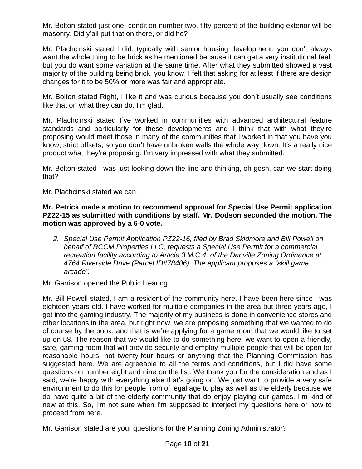Mr. Bolton stated just one, condition number two, fifty percent of the building exterior will be masonry. Did y'all put that on there, or did he?

Mr. Plachcinski stated I did, typically with senior housing development, you don't always want the whole thing to be brick as he mentioned because it can get a very institutional feel, but you do want some variation at the same time. After what they submitted showed a vast majority of the building being brick, you know, I felt that asking for at least if there are design changes for it to be 50% or more was fair and appropriate.

Mr. Bolton stated Right, I like it and was curious because you don't usually see conditions like that on what they can do. I'm glad.

Mr. Plachcinski stated I've worked in communities with advanced architectural feature standards and particularly for these developments and I think that with what they're proposing would meet those in many of the communities that I worked in that you have you know, strict offsets, so you don't have unbroken walls the whole way down. It's a really nice product what they're proposing. I'm very impressed with what they submitted.

Mr. Bolton stated I was just looking down the line and thinking, oh gosh, can we start doing that?

Mr. Plachcinski stated we can.

**Mr. Petrick made a motion to recommend approval for Special Use Permit application PZ22-15 as submitted with conditions by staff. Mr. Dodson seconded the motion. The motion was approved by a 6-0 vote.**

*2. Special Use Permit Application PZ22-16, filed by Brad Skidmore and Bill Powell on behalf of RCCM Properties LLC, requests a Special Use Permit for a commercial recreation facility according to Article 3.M.C.4. of the Danville Zoning Ordinance at 4764 Riverside Drive (Parcel ID#78406). The applicant proposes a "skill game arcade".*

Mr. Garrison opened the Public Hearing.

Mr. Bill Powell stated, I am a resident of the community here. I have been here since I was eighteen years old. I have worked for multiple companies in the area but three years ago, I got into the gaming industry. The majority of my business is done in convenience stores and other locations in the area, but right now, we are proposing something that we wanted to do of course by the book, and that is we're applying for a game room that we would like to set up on 58. The reason that we would like to do something here, we want to open a friendly, safe, gaming room that will provide security and employ multiple people that will be open for reasonable hours, not twenty-four hours or anything that the Planning Commission has suggested here. We are agreeable to all the terms and conditions, but I did have some questions on number eight and nine on the list. We thank you for the consideration and as I said, we're happy with everything else that's going on. We just want to provide a very safe environment to do this for people from of legal age to play as well as the elderly because we do have quite a bit of the elderly community that do enjoy playing our games. I'm kind of new at this. So, I'm not sure when I'm supposed to interject my questions here or how to proceed from here.

Mr. Garrison stated are your questions for the Planning Zoning Administrator?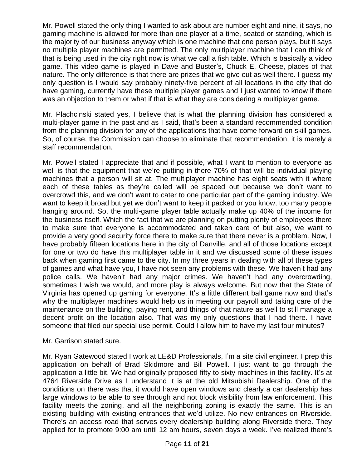Mr. Powell stated the only thing I wanted to ask about are number eight and nine, it says, no gaming machine is allowed for more than one player at a time, seated or standing, which is the majority of our business anyway which is one machine that one person plays, but it says no multiple player machines are permitted. The only multiplayer machine that I can think of that is being used in the city right now is what we call a fish table. Which is basically a video game. This video game is played in Dave and Buster's, Chuck E. Cheese, places of that nature. The only difference is that there are prizes that we give out as well there. I guess my only question is I would say probably ninety-five percent of all locations in the city that do have gaming, currently have these multiple player games and I just wanted to know if there was an objection to them or what if that is what they are considering a multiplayer game.

Mr. Plachcinski stated yes, I believe that is what the planning division has considered a multi-player game in the past and as I said, that's been a standard recommended condition from the planning division for any of the applications that have come forward on skill games. So, of course, the Commission can choose to eliminate that recommendation, it is merely a staff recommendation.

Mr. Powell stated I appreciate that and if possible, what I want to mention to everyone as well is that the equipment that we're putting in there 70% of that will be individual playing machines that a person will sit at. The multiplayer machine has eight seats with it where each of these tables as they're called will be spaced out because we don't want to overcrowd this, and we don't want to cater to one particular part of the gaming industry. We want to keep it broad but yet we don't want to keep it packed or you know, too many people hanging around. So, the multi-game player table actually make up 40% of the income for the business itself. Which the fact that we are planning on putting plenty of employees there to make sure that everyone is accommodated and taken care of but also, we want to provide a very good security force there to make sure that there never is a problem. Now, I have probably fifteen locations here in the city of Danville, and all of those locations except for one or two do have this multiplayer table in it and we discussed some of these issues back when gaming first came to the city. In my three years in dealing with all of these types of games and what have you, I have not seen any problems with these. We haven't had any police calls. We haven't had any major crimes. We haven't had any overcrowding, sometimes I wish we would, and more play is always welcome. But now that the State of Virginia has opened up gaming for everyone. It's a little different ball game now and that's why the multiplayer machines would help us in meeting our payroll and taking care of the maintenance on the building, paying rent, and things of that nature as well to still manage a decent profit on the location also. That was my only questions that I had there. I have someone that filed our special use permit. Could I allow him to have my last four minutes?

# Mr. Garrison stated sure.

Mr. Ryan Gatewood stated I work at LE&D Professionals, I'm a site civil engineer. I prep this application on behalf of Brad Skidmore and Bill Powell. I just want to go through the application a little bit. We had originally proposed fifty to sixty machines in this facility. It's at 4764 Riverside Drive as I understand it is at the old Mitsubishi Dealership. One of the conditions on there was that it would have open windows and clearly a car dealership has large windows to be able to see through and not block visibility from law enforcement. This facility meets the zoning, and all the neighboring zoning is exactly the same. This is an existing building with existing entrances that we'd utilize. No new entrances on Riverside. There's an access road that serves every dealership building along Riverside there. They applied for to promote 9:00 am until 12 am hours, seven days a week. I've realized there's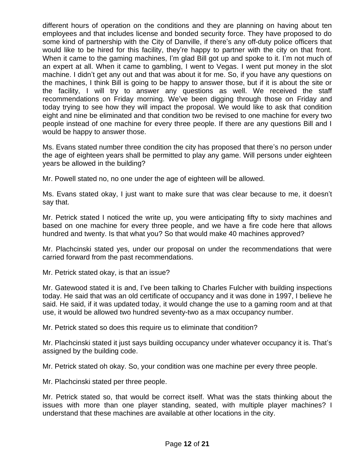different hours of operation on the conditions and they are planning on having about ten employees and that includes license and bonded security force. They have proposed to do some kind of partnership with the City of Danville, if there's any off-duty police officers that would like to be hired for this facility, they're happy to partner with the city on that front. When it came to the gaming machines, I'm glad Bill got up and spoke to it. I'm not much of an expert at all. When it came to gambling, I went to Vegas. I went put money in the slot machine. I didn't get any out and that was about it for me. So, if you have any questions on the machines, I think Bill is going to be happy to answer those, but if it is about the site or the facility, I will try to answer any questions as well. We received the staff recommendations on Friday morning. We've been digging through those on Friday and today trying to see how they will impact the proposal. We would like to ask that condition eight and nine be eliminated and that condition two be revised to one machine for every two people instead of one machine for every three people. If there are any questions Bill and I would be happy to answer those.

Ms. Evans stated number three condition the city has proposed that there's no person under the age of eighteen years shall be permitted to play any game. Will persons under eighteen years be allowed in the building?

Mr. Powell stated no, no one under the age of eighteen will be allowed.

Ms. Evans stated okay, I just want to make sure that was clear because to me, it doesn't say that.

Mr. Petrick stated I noticed the write up, you were anticipating fifty to sixty machines and based on one machine for every three people, and we have a fire code here that allows hundred and twenty. Is that what you? So that would make 40 machines approved?

Mr. Plachcinski stated yes, under our proposal on under the recommendations that were carried forward from the past recommendations.

Mr. Petrick stated okay, is that an issue?

Mr. Gatewood stated it is and, I've been talking to Charles Fulcher with building inspections today. He said that was an old certificate of occupancy and it was done in 1997, I believe he said. He said, if it was updated today, it would change the use to a gaming room and at that use, it would be allowed two hundred seventy-two as a max occupancy number.

Mr. Petrick stated so does this require us to eliminate that condition?

Mr. Plachcinski stated it just says building occupancy under whatever occupancy it is. That's assigned by the building code.

Mr. Petrick stated oh okay. So, your condition was one machine per every three people.

Mr. Plachcinski stated per three people.

Mr. Petrick stated so, that would be correct itself. What was the stats thinking about the issues with more than one player standing, seated, with multiple player machines? I understand that these machines are available at other locations in the city.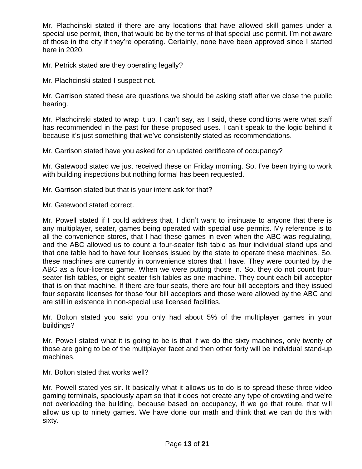Mr. Plachcinski stated if there are any locations that have allowed skill games under a special use permit, then, that would be by the terms of that special use permit. I'm not aware of those in the city if they're operating. Certainly, none have been approved since I started here in 2020.

Mr. Petrick stated are they operating legally?

Mr. Plachcinski stated I suspect not.

Mr. Garrison stated these are questions we should be asking staff after we close the public hearing.

Mr. Plachcinski stated to wrap it up, I can't say, as I said, these conditions were what staff has recommended in the past for these proposed uses. I can't speak to the logic behind it because it's just something that we've consistently stated as recommendations.

Mr. Garrison stated have you asked for an updated certificate of occupancy?

Mr. Gatewood stated we just received these on Friday morning. So, I've been trying to work with building inspections but nothing formal has been requested.

Mr. Garrison stated but that is your intent ask for that?

Mr. Gatewood stated correct.

Mr. Powell stated if I could address that, I didn't want to insinuate to anyone that there is any multiplayer, seater, games being operated with special use permits. My reference is to all the convenience stores, that I had these games in even when the ABC was regulating, and the ABC allowed us to count a four-seater fish table as four individual stand ups and that one table had to have four licenses issued by the state to operate these machines. So, these machines are currently in convenience stores that I have. They were counted by the ABC as a four-license game. When we were putting those in. So, they do not count fourseater fish tables, or eight-seater fish tables as one machine. They count each bill acceptor that is on that machine. If there are four seats, there are four bill acceptors and they issued four separate licenses for those four bill acceptors and those were allowed by the ABC and are still in existence in non-special use licensed facilities.

Mr. Bolton stated you said you only had about 5% of the multiplayer games in your buildings?

Mr. Powell stated what it is going to be is that if we do the sixty machines, only twenty of those are going to be of the multiplayer facet and then other forty will be individual stand-up machines.

Mr. Bolton stated that works well?

Mr. Powell stated yes sir. It basically what it allows us to do is to spread these three video gaming terminals, spaciously apart so that it does not create any type of crowding and we're not overloading the building, because based on occupancy, if we go that route, that will allow us up to ninety games. We have done our math and think that we can do this with sixty.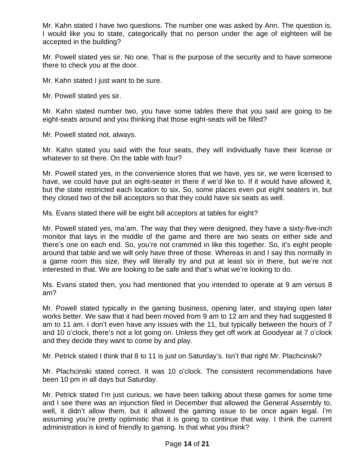Mr. Kahn stated I have two questions. The number one was asked by Ann. The question is, I would like you to state, categorically that no person under the age of eighteen will be accepted in the building?

Mr. Powell stated yes sir. No one. That is the purpose of the security and to have someone there to check you at the door.

Mr. Kahn stated I just want to be sure.

Mr. Powell stated yes sir.

Mr. Kahn stated number two, you have some tables there that you said are going to be eight-seats around and you thinking that those eight-seats will be filled?

Mr. Powell stated not, always.

Mr. Kahn stated you said with the four seats, they will individually have their license or whatever to sit there. On the table with four?

Mr. Powell stated yes, in the convenience stores that we have, yes sir, we were licensed to have, we could have put an eight-seater in there if we'd like to. If it would have allowed it, but the state restricted each location to six. So, some places even put eight seaters in, but they closed two of the bill acceptors so that they could have six seats as well.

Ms. Evans stated there will be eight bill acceptors at tables for eight?

Mr. Powell stated yes, ma'am. The way that they were designed, they have a sixty-five-inch monitor that lays in the middle of the game and there are two seats on either side and there's one on each end. So, you're not crammed in like this together. So, it's eight people around that table and we will only have three of those. Whereas in and I say this normally in a game room this size, they will literally try and put at least six in there, but we're not interested in that. We are looking to be safe and that's what we're looking to do.

Ms. Evans stated then, you had mentioned that you intended to operate at 9 am versus 8 am?

Mr. Powell stated typically in the gaming business, opening later, and staying open later works better. We saw that it had been moved from 9 am to 12 am and they had suggested 8 am to 11 am. I don't even have any issues with the 11, but typically between the hours of 7 and 10 o'clock, there's not a lot going on. Unless they get off work at Goodyear at 7 o'clock and they decide they want to come by and play.

Mr. Petrick stated I think that 8 to 11 is just on Saturday's. Isn't that right Mr. Plachcinski?

Mr. Plachcinski stated correct. It was 10 o'clock. The consistent recommendations have been 10 pm in all days but Saturday.

Mr. Petrick stated I'm just curious, we have been talking about these games for some time and I see there was an injunction filed in December that allowed the General Assembly to, well, it didn't allow them, but it allowed the gaming issue to be once again legal. I'm assuming you're pretty optimistic that it is going to continue that way. I think the current administration is kind of friendly to gaming. Is that what you think?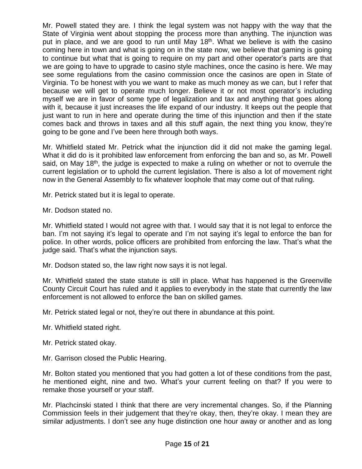Mr. Powell stated they are. I think the legal system was not happy with the way that the State of Virginia went about stopping the process more than anything. The injunction was put in place, and we are good to run until May 18<sup>th</sup>. What we believe is with the casino coming here in town and what is going on in the state now, we believe that gaming is going to continue but what that is going to require on my part and other operator's parts are that we are going to have to upgrade to casino style machines, once the casino is here. We may see some regulations from the casino commission once the casinos are open in State of Virginia. To be honest with you we want to make as much money as we can, but I refer that because we will get to operate much longer. Believe it or not most operator's including myself we are in favor of some type of legalization and tax and anything that goes along with it, because it just increases the life expand of our industry. It keeps out the people that just want to run in here and operate during the time of this injunction and then if the state comes back and throws in taxes and all this stuff again, the next thing you know, they're going to be gone and I've been here through both ways.

Mr. Whitfield stated Mr. Petrick what the injunction did it did not make the gaming legal. What it did do is it prohibited law enforcement from enforcing the ban and so, as Mr. Powell said, on May 18<sup>th</sup>, the judge is expected to make a ruling on whether or not to overrule the current legislation or to uphold the current legislation. There is also a lot of movement right now in the General Assembly to fix whatever loophole that may come out of that ruling.

Mr. Petrick stated but it is legal to operate.

Mr. Dodson stated no.

Mr. Whitfield stated I would not agree with that. I would say that it is not legal to enforce the ban. I'm not saying it's legal to operate and I'm not saying it's legal to enforce the ban for police. In other words, police officers are prohibited from enforcing the law. That's what the judge said. That's what the injunction says.

Mr. Dodson stated so, the law right now says it is not legal.

Mr. Whitfield stated the state statute is still in place. What has happened is the Greenville County Circuit Court has ruled and it applies to everybody in the state that currently the law enforcement is not allowed to enforce the ban on skilled games.

Mr. Petrick stated legal or not, they're out there in abundance at this point.

- Mr. Whitfield stated right.
- Mr. Petrick stated okay.

Mr. Garrison closed the Public Hearing.

Mr. Bolton stated you mentioned that you had gotten a lot of these conditions from the past, he mentioned eight, nine and two. What's your current feeling on that? If you were to remake those yourself or your staff.

Mr. Plachcinski stated I think that there are very incremental changes. So, if the Planning Commission feels in their judgement that they're okay, then, they're okay. I mean they are similar adjustments. I don't see any huge distinction one hour away or another and as long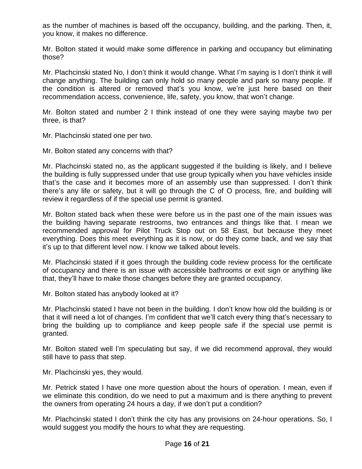as the number of machines is based off the occupancy, building, and the parking. Then, it, you know, it makes no difference.

Mr. Bolton stated it would make some difference in parking and occupancy but eliminating those?

Mr. Plachcinski stated No, I don't think it would change. What I'm saying is I don't think it will change anything. The building can only hold so many people and park so many people. If the condition is altered or removed that's you know, we're just here based on their recommendation access, convenience, life, safety, you know, that won't change.

Mr. Bolton stated and number 2 I think instead of one they were saying maybe two per three, is that?

Mr. Plachcinski stated one per two.

Mr. Bolton stated any concerns with that?

Mr. Plachcinski stated no, as the applicant suggested if the building is likely, and I believe the building is fully suppressed under that use group typically when you have vehicles inside that's the case and it becomes more of an assembly use than suppressed. I don't think there's any life or safety, but it will go through the C of O process, fire, and building will review it regardless of if the special use permit is granted.

Mr. Bolton stated back when these were before us in the past one of the main issues was the building having separate restrooms, two entrances and things like that. I mean we recommended approval for Pilot Truck Stop out on 58 East, but because they meet everything. Does this meet everything as it is now, or do they come back, and we say that it's up to that different level now. I know we talked about levels.

Mr. Plachcinski stated if it goes through the building code review process for the certificate of occupancy and there is an issue with accessible bathrooms or exit sign or anything like that, they'll have to make those changes before they are granted occupancy.

Mr. Bolton stated has anybody looked at it?

Mr. Plachcinski stated I have not been in the building. I don't know how old the building is or that it will need a lot of changes. I'm confident that we'll catch every thing that's necessary to bring the building up to compliance and keep people safe if the special use permit is granted.

Mr. Bolton stated well I'm speculating but say, if we did recommend approval, they would still have to pass that step.

Mr. Plachcinski yes, they would.

Mr. Petrick stated I have one more question about the hours of operation. I mean, even if we eliminate this condition, do we need to put a maximum and is there anything to prevent the owners from operating 24 hours a day, if we don't put a condition?

Mr. Plachcinski stated I don't think the city has any provisions on 24-hour operations. So, I would suggest you modify the hours to what they are requesting.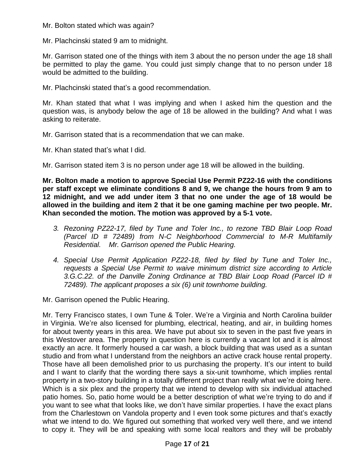Mr. Bolton stated which was again?

Mr. Plachcinski stated 9 am to midnight.

Mr. Garrison stated one of the things with item 3 about the no person under the age 18 shall be permitted to play the game. You could just simply change that to no person under 18 would be admitted to the building.

Mr. Plachcinski stated that's a good recommendation.

Mr. Khan stated that what I was implying and when I asked him the question and the question was, is anybody below the age of 18 be allowed in the building? And what I was asking to reiterate.

Mr. Garrison stated that is a recommendation that we can make.

Mr. Khan stated that's what I did.

Mr. Garrison stated item 3 is no person under age 18 will be allowed in the building.

**Mr. Bolton made a motion to approve Special Use Permit PZ22-16 with the conditions per staff except we eliminate conditions 8 and 9, we change the hours from 9 am to 12 midnight, and we add under item 3 that no one under the age of 18 would be allowed in the building and item 2 that it be one gaming machine per two people. Mr. Khan seconded the motion. The motion was approved by a 5-1 vote.**

- *3. Rezoning PZ22-17, filed by Tune and Toler Inc., to rezone TBD Blair Loop Road (Parcel ID # 72489) from N-C Neighborhood Commercial to M-R Multifamily Residential. Mr. Garrison opened the Public Hearing.*
- *4. Special Use Permit Application PZ22-18, filed by filed by Tune and Toler Inc., requests a Special Use Permit to waive minimum district size according to Article 3.G.C.22. of the Danville Zoning Ordinance at TBD Blair Loop Road (Parcel ID # 72489). The applicant proposes a six (6) unit townhome building.*

Mr. Garrison opened the Public Hearing.

Mr. Terry Francisco states, I own Tune & Toler. We're a Virginia and North Carolina builder in Virginia. We're also licensed for plumbing, electrical, heating, and air, in building homes for about twenty years in this area. We have put about six to seven in the past five years in this Westover area. The property in question here is currently a vacant lot and it is almost exactly an acre. It formerly housed a car wash, a block building that was used as a suntan studio and from what I understand from the neighbors an active crack house rental property. Those have all been demolished prior to us purchasing the property. It's our intent to build and I want to clarify that the wording there says a six-unit townhome, which implies rental property in a two-story building in a totally different project than really what we're doing here. Which is a six plex and the property that we intend to develop with six individual attached patio homes. So, patio home would be a better description of what we're trying to do and if you want to see what that looks like, we don't have similar properties. I have the exact plans from the Charlestown on Vandola property and I even took some pictures and that's exactly what we intend to do. We figured out something that worked very well there, and we intend to copy it. They will be and speaking with some local realtors and they will be probably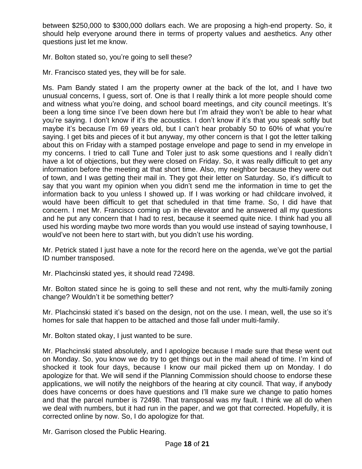between \$250,000 to \$300,000 dollars each. We are proposing a high-end property. So, it should help everyone around there in terms of property values and aesthetics. Any other questions just let me know.

Mr. Bolton stated so, you're going to sell these?

Mr. Francisco stated yes, they will be for sale.

Ms. Pam Bandy stated I am the property owner at the back of the lot, and I have two unusual concerns, I guess, sort of. One is that I really think a lot more people should come and witness what you're doing, and school board meetings, and city council meetings. It's been a long time since I've been down here but I'm afraid they won't be able to hear what you're saying. I don't know if it's the acoustics. I don't know if it's that you speak softly but maybe it's because I'm 69 years old, but I can't hear probably 50 to 60% of what you're saying. I get bits and pieces of it but anyway, my other concern is that I got the letter talking about this on Friday with a stamped postage envelope and page to send in my envelope in my concerns. I tried to call Tune and Toler just to ask some questions and I really didn't have a lot of objections, but they were closed on Friday. So, it was really difficult to get any information before the meeting at that short time. Also, my neighbor because they were out of town, and I was getting their mail in. They got their letter on Saturday. So, it's difficult to say that you want my opinion when you didn't send me the information in time to get the information back to you unless I showed up. If I was working or had childcare involved, it would have been difficult to get that scheduled in that time frame. So, I did have that concern. I met Mr. Francisco coming up in the elevator and he answered all my questions and he put any concern that I had to rest, because it seemed quite nice. I think had you all used his wording maybe two more words than you would use instead of saying townhouse, I would've not been here to start with, but you didn't use his wording.

Mr. Petrick stated I just have a note for the record here on the agenda, we've got the partial ID number transposed.

Mr. Plachcinski stated yes, it should read 72498.

Mr. Bolton stated since he is going to sell these and not rent, why the multi-family zoning change? Wouldn't it be something better?

Mr. Plachcinski stated it's based on the design, not on the use. I mean, well, the use so it's homes for sale that happen to be attached and those fall under multi-family.

Mr. Bolton stated okay, I just wanted to be sure.

Mr. Plachcinski stated absolutely, and I apologize because I made sure that these went out on Monday. So, you know we do try to get things out in the mail ahead of time. I'm kind of shocked it took four days, because I know our mail picked them up on Monday. I do apologize for that. We will send if the Planning Commission should choose to endorse these applications, we will notify the neighbors of the hearing at city council. That way, if anybody does have concerns or does have questions and I'll make sure we change to patio homes and that the parcel number is 72498. That transposal was my fault. I think we all do when we deal with numbers, but it had run in the paper, and we got that corrected. Hopefully, it is corrected online by now. So, I do apologize for that.

Mr. Garrison closed the Public Hearing.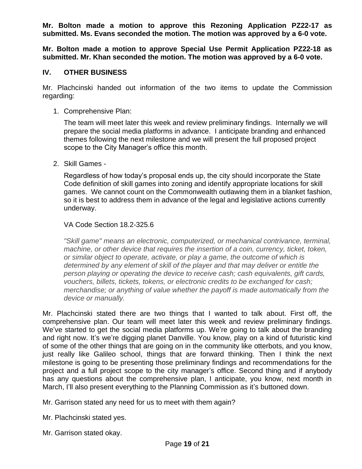**Mr. Bolton made a motion to approve this Rezoning Application PZ22-17 as submitted. Ms. Evans seconded the motion. The motion was approved by a 6-0 vote.**

**Mr. Bolton made a motion to approve Special Use Permit Application PZ22-18 as submitted. Mr. Khan seconded the motion. The motion was approved by a 6-0 vote.**

## **IV. OTHER BUSINESS**

Mr. Plachcinski handed out information of the two items to update the Commission regarding:

1. Comprehensive Plan:

The team will meet later this week and review preliminary findings. Internally we will prepare the social media platforms in advance. I anticipate branding and enhanced themes following the next milestone and we will present the full proposed project scope to the City Manager's office this month.

2. Skill Games -

Regardless of how today's proposal ends up, the city should incorporate the State Code definition of skill games into zoning and identify appropriate locations for skill games. We cannot count on the Commonwealth outlawing them in a blanket fashion, so it is best to address them in advance of the legal and legislative actions currently underway.

### VA Code Section 18.2-325.6

*"Skill game" means an electronic, computerized, or mechanical contrivance, terminal, machine, or other device that requires the insertion of a coin, currency, ticket, token, or similar object to operate, activate, or play a game, the outcome of which is determined by any element of skill of the player and that may deliver or entitle the person playing or operating the device to receive cash; cash equivalents, gift cards, vouchers, billets, tickets, tokens, or electronic credits to be exchanged for cash; merchandise; or anything of value whether the payoff is made automatically from the device or manually.*

Mr. Plachcinski stated there are two things that I wanted to talk about. First off, the comprehensive plan. Our team will meet later this week and review preliminary findings. We've started to get the social media platforms up. We're going to talk about the branding and right now. It's we're digging planet Danville. You know, play on a kind of futuristic kind of some of the other things that are going on in the community like otterbots, and you know, just really like Galileo school, things that are forward thinking. Then I think the next milestone is going to be presenting those preliminary findings and recommendations for the project and a full project scope to the city manager's office. Second thing and if anybody has any questions about the comprehensive plan, I anticipate, you know, next month in March, I'll also present everything to the Planning Commission as it's buttoned down.

Mr. Garrison stated any need for us to meet with them again?

Mr. Plachcinski stated yes.

Mr. Garrison stated okay.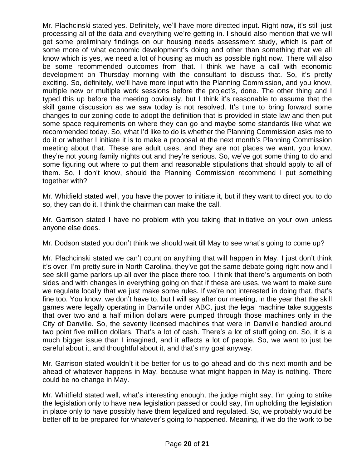Mr. Plachcinski stated yes. Definitely, we'll have more directed input. Right now, it's still just processing all of the data and everything we're getting in. I should also mention that we will get some preliminary findings on our housing needs assessment study, which is part of some more of what economic development's doing and other than something that we all know which is yes, we need a lot of housing as much as possible right now. There will also be some recommended outcomes from that. I think we have a call with economic development on Thursday morning with the consultant to discuss that. So, it's pretty exciting. So, definitely, we'll have more input with the Planning Commission, and you know, multiple new or multiple work sessions before the project's, done. The other thing and I typed this up before the meeting obviously, but I think it's reasonable to assume that the skill game discussion as we saw today is not resolved. It's time to bring forward some changes to our zoning code to adopt the definition that is provided in state law and then put some space requirements on where they can go and maybe some standards like what we recommended today. So, what I'd like to do is whether the Planning Commission asks me to do it or whether I initiate it is to make a proposal at the next month's Planning Commission meeting about that. These are adult uses, and they are not places we want, you know, they're not young family nights out and they're serious. So, we've got some thing to do and some figuring out where to put them and reasonable stipulations that should apply to all of them. So, I don't know, should the Planning Commission recommend I put something together with?

Mr. Whitfield stated well, you have the power to initiate it, but if they want to direct you to do so, they can do it. I think the chairman can make the call.

Mr. Garrison stated I have no problem with you taking that initiative on your own unless anyone else does.

Mr. Dodson stated you don't think we should wait till May to see what's going to come up?

Mr. Plachcinski stated we can't count on anything that will happen in May. I just don't think it's over. I'm pretty sure in North Carolina, they've got the same debate going right now and I see skill game parlors up all over the place there too. I think that there's arguments on both sides and with changes in everything going on that if these are uses, we want to make sure we regulate locally that we just make some rules. If we're not interested in doing that, that's fine too. You know, we don't have to, but I will say after our meeting, in the year that the skill games were legally operating in Danville under ABC, just the legal machine take suggests that over two and a half million dollars were pumped through those machines only in the City of Danville. So, the seventy licensed machines that were in Danville handled around two point five million dollars. That's a lot of cash. There's a lot of stuff going on. So, it is a much bigger issue than I imagined, and it affects a lot of people. So, we want to just be careful about it, and thoughtful about it, and that's my goal anyway.

Mr. Garrison stated wouldn't it be better for us to go ahead and do this next month and be ahead of whatever happens in May, because what might happen in May is nothing. There could be no change in May.

Mr. Whitfield stated well, what's interesting enough, the judge might say, I'm going to strike the legislation only to have new legislation passed or could say, I'm upholding the legislation in place only to have possibly have them legalized and regulated. So, we probably would be better off to be prepared for whatever's going to happened. Meaning, if we do the work to be